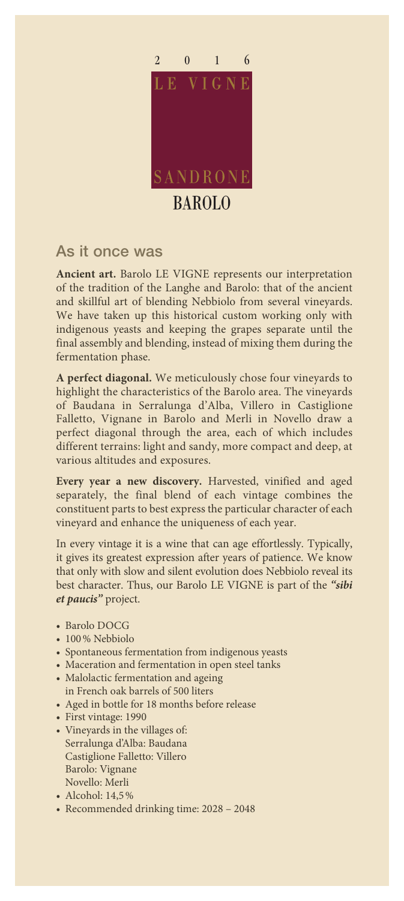

## As it once was

**Ancient art.** Barolo LE VIGNE represents our interpretation of the tradition of the Langhe and Barolo: that of the ancient and skillful art of blending Nebbiolo from several vineyards. We have taken up this historical custom working only with indigenous yeasts and keeping the grapes separate until the final assembly and blending, instead of mixing them during the fermentation phase.

**A perfect diagonal.** We meticulously chose four vineyards to highlight the characteristics of the Barolo area. The vineyards of Baudana in Serralunga d'Alba, Villero in Castiglione Falletto, Vignane in Barolo and Merli in Novello draw a perfect diagonal through the area, each of which includes different terrains: light and sandy, more compact and deep, at various altitudes and exposures.

**Every year a new discovery.** Harvested, vinified and aged separately, the final blend of each vintage combines the constituent parts to best express the particular character of each vineyard and enhance the uniqueness of each year.

In every vintage it is a wine that can age effortlessly. Typically, it gives its greatest expression after years of patience. We know that only with slow and silent evolution does Nebbiolo reveal its best character. Thus, our Barolo LE VIGNE is part of the *"sibi et paucis"* project.

- Barolo DOCG
- 100% Nebbiolo
- Spontaneous fermentation from indigenous yeasts
- Maceration and fermentation in open steel tanks
- Malolactic fermentation and ageing in French oak barrels of 500 liters
- Aged in bottle for 18 months before release
- First vintage: 1990
- Vineyards in the villages of: Serralunga d'Alba: Baudana Castiglione Falletto: Villero Barolo: Vignane Novello: Merli
- Alcohol: 14,5%
- Recommended drinking time: 2028 2048